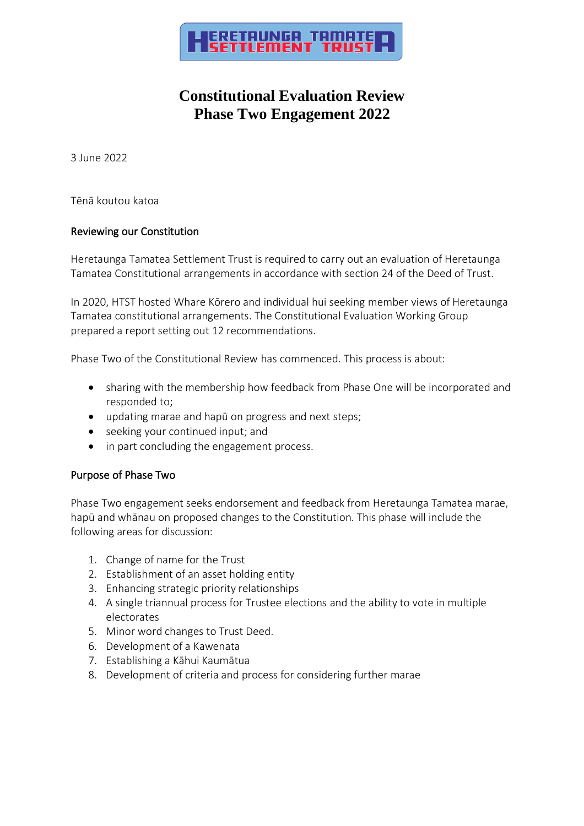

## **Constitutional Evaluation Review Phase Two Engagement 2022**

3 June 2022

Tēnā koutou katoa

### Reviewing our Constitution

Heretaunga Tamatea Settlement Trust is required to carry out an evaluation of Heretaunga Tamatea Constitutional arrangements in accordance with section 24 of the Deed of Trust.

In 2020, HTST hosted Whare Kōrero and individual hui seeking member views of Heretaunga Tamatea constitutional arrangements. The Constitutional Evaluation Working Group prepared a report setting out 12 recommendations.

Phase Two of the Constitutional Review has commenced. This process is about:

- sharing with the membership how feedback from Phase One will be incorporated and responded to;
- updating marae and hapū on progress and next steps;
- seeking your continued input; and
- in part concluding the engagement process.

### Purpose of Phase Two

Phase Two engagement seeks endorsement and feedback from Heretaunga Tamatea marae, hapū and whānau on proposed changes to the Constitution. This phase will include the following areas for discussion:

- 1. Change of name for the Trust
- 2. Establishment of an asset holding entity
- 3. Enhancing strategic priority relationships
- 4. A single triannual process for Trustee elections and the ability to vote in multiple electorates
- 5. Minor word changes to Trust Deed.
- 6. Development of a Kawenata
- 7. Establishing a Kāhui Kaumātua
- 8. Development of criteria and process for considering further marae